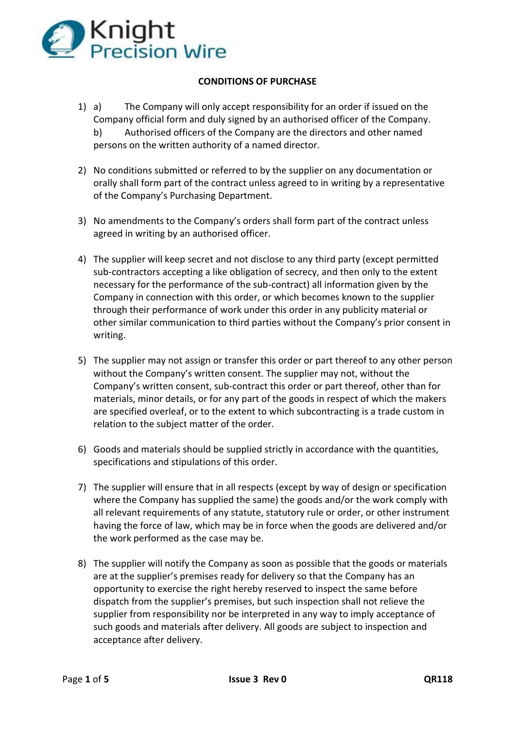

## **CONDITIONS OF PURCHASE**

- 1) a) The Company will only accept responsibility for an order if issued on the Company official form and duly signed by an authorised officer of the Company. b) Authorised officers of the Company are the directors and other named persons on the written authority of a named director.
- 2) No conditions submitted or referred to by the supplier on any documentation or orally shall form part of the contract unless agreed to in writing by a representative of the Company's Purchasing Department.
- 3) No amendments to the Company's orders shall form part of the contract unless agreed in writing by an authorised officer.
- 4) The supplier will keep secret and not disclose to any third party (except permitted sub-contractors accepting a like obligation of secrecy, and then only to the extent necessary for the performance of the sub-contract) all information given by the Company in connection with this order, or which becomes known to the supplier through their performance of work under this order in any publicity material or other similar communication to third parties without the Company's prior consent in writing.
- 5) The supplier may not assign or transfer this order or part thereof to any other person without the Company's written consent. The supplier may not, without the Company's written consent, sub-contract this order or part thereof, other than for materials, minor details, or for any part of the goods in respect of which the makers are specified overleaf, or to the extent to which subcontracting is a trade custom in relation to the subject matter of the order.
- 6) Goods and materials should be supplied strictly in accordance with the quantities, specifications and stipulations of this order.
- 7) The supplier will ensure that in all respects (except by way of design or specification where the Company has supplied the same) the goods and/or the work comply with all relevant requirements of any statute, statutory rule or order, or other instrument having the force of law, which may be in force when the goods are delivered and/or the work performed as the case may be.
- 8) The supplier will notify the Company as soon as possible that the goods or materials are at the supplier's premises ready for delivery so that the Company has an opportunity to exercise the right hereby reserved to inspect the same before dispatch from the supplier's premises, but such inspection shall not relieve the supplier from responsibility nor be interpreted in any way to imply acceptance of such goods and materials after delivery. All goods are subject to inspection and acceptance after delivery.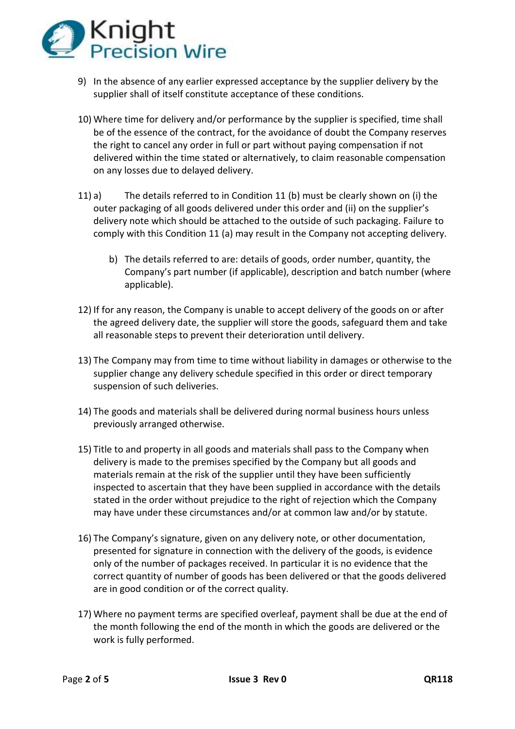

- 9) In the absence of any earlier expressed acceptance by the supplier delivery by the supplier shall of itself constitute acceptance of these conditions.
- 10) Where time for delivery and/or performance by the supplier is specified, time shall be of the essence of the contract, for the avoidance of doubt the Company reserves the right to cancel any order in full or part without paying compensation if not delivered within the time stated or alternatively, to claim reasonable compensation on any losses due to delayed delivery.
- 11) a) The details referred to in Condition 11 (b) must be clearly shown on (i) the outer packaging of all goods delivered under this order and (ii) on the supplier's delivery note which should be attached to the outside of such packaging. Failure to comply with this Condition 11 (a) may result in the Company not accepting delivery.
	- b) The details referred to are: details of goods, order number, quantity, the Company's part number (if applicable), description and batch number (where applicable).
- 12) If for any reason, the Company is unable to accept delivery of the goods on or after the agreed delivery date, the supplier will store the goods, safeguard them and take all reasonable steps to prevent their deterioration until delivery.
- 13) The Company may from time to time without liability in damages or otherwise to the supplier change any delivery schedule specified in this order or direct temporary suspension of such deliveries.
- 14) The goods and materials shall be delivered during normal business hours unless previously arranged otherwise.
- 15) Title to and property in all goods and materials shall pass to the Company when delivery is made to the premises specified by the Company but all goods and materials remain at the risk of the supplier until they have been sufficiently inspected to ascertain that they have been supplied in accordance with the details stated in the order without prejudice to the right of rejection which the Company may have under these circumstances and/or at common law and/or by statute.
- 16) The Company's signature, given on any delivery note, or other documentation, presented for signature in connection with the delivery of the goods, is evidence only of the number of packages received. In particular it is no evidence that the correct quantity of number of goods has been delivered or that the goods delivered are in good condition or of the correct quality.
- 17) Where no payment terms are specified overleaf, payment shall be due at the end of the month following the end of the month in which the goods are delivered or the work is fully performed.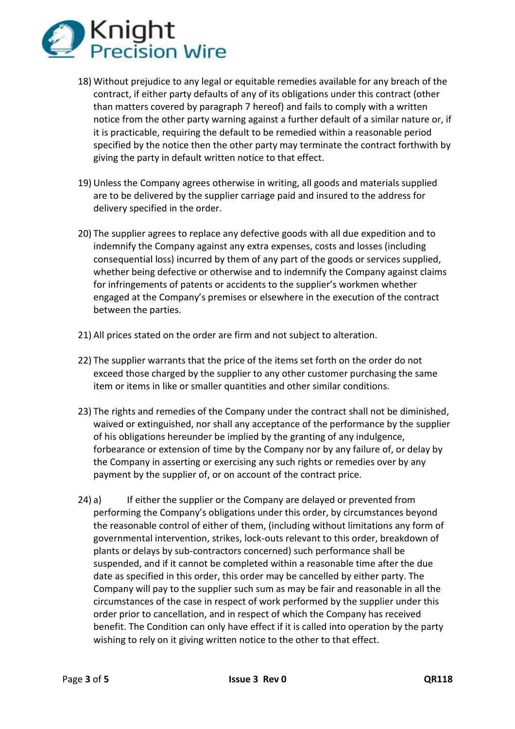

- 18) Without prejudice to any legal or equitable remedies available for any breach of the contract, if either party defaults of any of its obligations under this contract (other than matters covered by paragraph 7 hereof) and fails to comply with a written notice from the other party warning against a further default of a similar nature or, if it is practicable, requiring the default to be remedied within a reasonable period specified by the notice then the other party may terminate the contract forthwith by giving the party in default written notice to that effect.
- 19) Unless the Company agrees otherwise in writing, all goods and materials supplied are to be delivered by the supplier carriage paid and insured to the address for delivery specified in the order.
- 20) The supplier agrees to replace any defective goods with all due expedition and to indemnify the Company against any extra expenses, costs and losses (including consequential loss) incurred by them of any part of the goods or services supplied, whether being defective or otherwise and to indemnify the Company against claims for infringements of patents or accidents to the supplier's workmen whether engaged at the Company's premises or elsewhere in the execution of the contract between the parties.
- 21) All prices stated on the order are firm and not subject to alteration.
- 22) The supplier warrants that the price of the items set forth on the order do not exceed those charged by the supplier to any other customer purchasing the same item or items in like or smaller quantities and other similar conditions.
- 23) The rights and remedies of the Company under the contract shall not be diminished, waived or extinguished, nor shall any acceptance of the performance by the supplier of his obligations hereunder be implied by the granting of any indulgence, forbearance or extension of time by the Company nor by any failure of, or delay by the Company in asserting or exercising any such rights or remedies over by any payment by the supplier of, or on account of the contract price.
- 24) a) If either the supplier or the Company are delayed or prevented from performing the Company's obligations under this order, by circumstances beyond the reasonable control of either of them, (including without limitations any form of governmental intervention, strikes, lock-outs relevant to this order, breakdown of plants or delays by sub-contractors concerned) such performance shall be suspended, and if it cannot be completed within a reasonable time after the due date as specified in this order, this order may be cancelled by either party. The Company will pay to the supplier such sum as may be fair and reasonable in all the circumstances of the case in respect of work performed by the supplier under this order prior to cancellation, and in respect of which the Company has received benefit. The Condition can only have effect if it is called into operation by the party wishing to rely on it giving written notice to the other to that effect.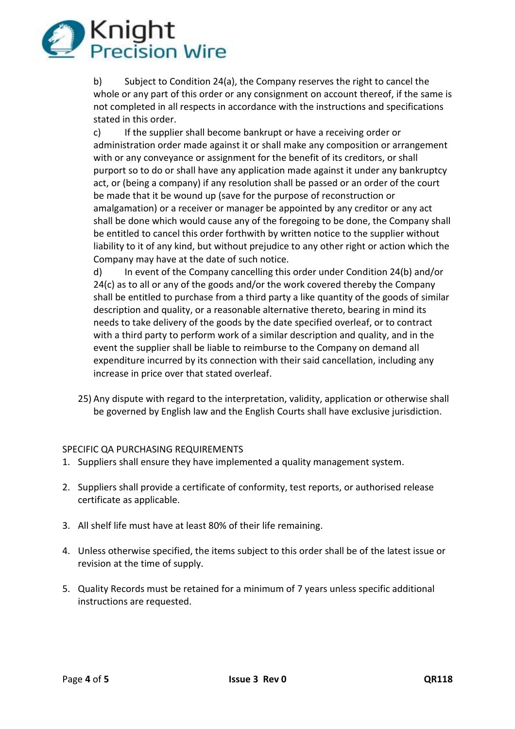

b) Subject to Condition 24(a), the Company reserves the right to cancel the whole or any part of this order or any consignment on account thereof, if the same is not completed in all respects in accordance with the instructions and specifications stated in this order.

c) If the supplier shall become bankrupt or have a receiving order or administration order made against it or shall make any composition or arrangement with or any conveyance or assignment for the benefit of its creditors, or shall purport so to do or shall have any application made against it under any bankruptcy act, or (being a company) if any resolution shall be passed or an order of the court be made that it be wound up (save for the purpose of reconstruction or amalgamation) or a receiver or manager be appointed by any creditor or any act shall be done which would cause any of the foregoing to be done, the Company shall be entitled to cancel this order forthwith by written notice to the supplier without liability to it of any kind, but without prejudice to any other right or action which the Company may have at the date of such notice.

d) In event of the Company cancelling this order under Condition 24(b) and/or 24(c) as to all or any of the goods and/or the work covered thereby the Company shall be entitled to purchase from a third party a like quantity of the goods of similar description and quality, or a reasonable alternative thereto, bearing in mind its needs to take delivery of the goods by the date specified overleaf, or to contract with a third party to perform work of a similar description and quality, and in the event the supplier shall be liable to reimburse to the Company on demand all expenditure incurred by its connection with their said cancellation, including any increase in price over that stated overleaf.

25) Any dispute with regard to the interpretation, validity, application or otherwise shall be governed by English law and the English Courts shall have exclusive jurisdiction.

## SPECIFIC QA PURCHASING REQUIREMENTS

- 1. Suppliers shall ensure they have implemented a quality management system.
- 2. Suppliers shall provide a certificate of conformity, test reports, or authorised release certificate as applicable.
- 3. All shelf life must have at least 80% of their life remaining.
- 4. Unless otherwise specified, the items subject to this order shall be of the latest issue or revision at the time of supply.
- 5. Quality Records must be retained for a minimum of 7 years unless specific additional instructions are requested.